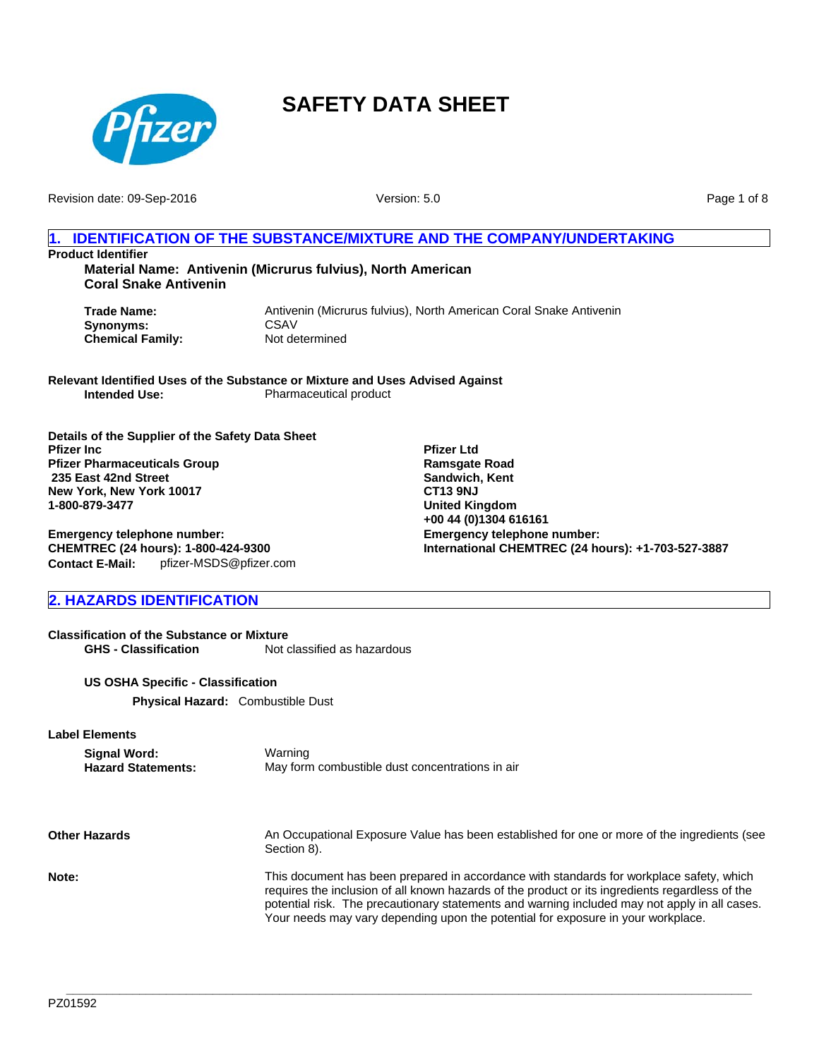

Revision date: 09-Sep-2016

Version: 5.0

Page 1 of 8

## **1. IDENTIFICATION OF THE SUBSTANCE/MIXTURE AND THE COMPANY/UNDERTAKING**

**Product Identifier**

**Material Name: Antivenin (Micrurus fulvius), North American Coral Snake Antivenin**

**Synonyms:** CSAV<br> **Chemical Family:** Not determined **Chemical Family:** 

**Trade Name:** Antivenin (Micrurus fulvius), North American Coral Snake Antivenin<br>
Synonyms: CSAV

**Relevant Identified Uses of the Substance or Mixture and Uses Advised Against Intended Use:** Pharmaceutical product

**Details of the Supplier of the Safety Data Sheet Pfizer Inc Pfizer Pharmaceuticals Group 235 East 42nd Street New York, New York 10017 1-800-879-3477**

**Emergency telephone number: CHEMTREC (24 hours): 1-800-424-9300 Contact E-Mail:** pfizer-MSDS@pfizer.com

## **2. HAZARDS IDENTIFICATION**

**Classification of the Substance or Mixture GHS - Classification** Not classified as hazardous

**US OSHA Specific - Classification**

**Physical Hazard:** Combustible Dust

**Label Elements**

**Signal Word:** Warning<br> **Hazard Statements:** May form May form combustible dust concentrations in air

**Other Hazards** An Occupational Exposure Value has been established for one or more of the ingredients (see Section 8). **Note:** This document has been prepared in accordance with standards for workplace safety, which requires the inclusion of all known hazards of the product or its ingredients regardless of the potential risk. The precautionary statements and warning included may not apply in all cases. Your needs may vary depending upon the potential for exposure in your workplace.

**\_\_\_\_\_\_\_\_\_\_\_\_\_\_\_\_\_\_\_\_\_\_\_\_\_\_\_\_\_\_\_\_\_\_\_\_\_\_\_\_\_\_\_\_\_\_\_\_\_\_\_\_\_\_\_\_\_\_\_\_\_\_\_\_\_\_\_\_\_\_\_\_\_\_\_\_\_\_\_\_\_\_\_\_\_\_\_\_\_\_\_\_\_\_\_\_\_\_\_\_\_\_\_**

**Emergency telephone number: International CHEMTREC (24 hours): +1-703-527-3887 Pfizer Ltd Ramsgate Road Sandwich, Kent CT13 9NJ United Kingdom +00 44 (0)1304 616161**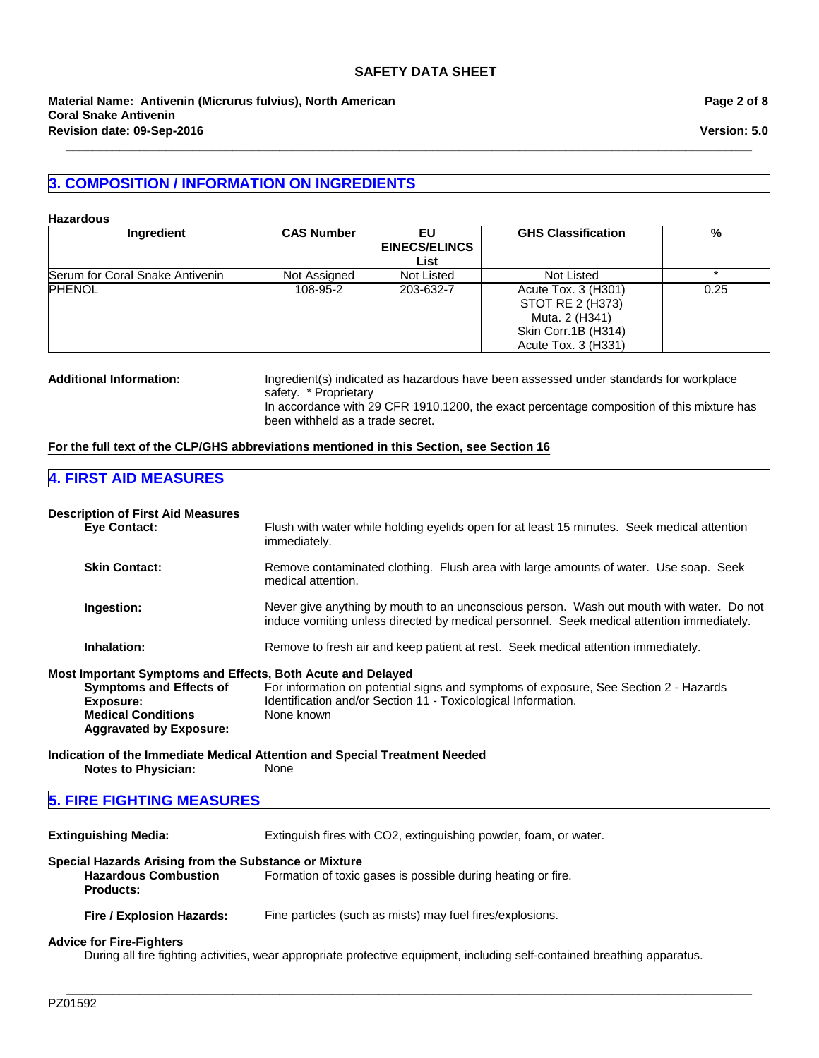## **3. COMPOSITION / INFORMATION ON INGREDIENTS**

#### **Hazardous**

| Ingredient                      | <b>CAS Number</b> | EU                   | <b>GHS Classification</b>               | %    |
|---------------------------------|-------------------|----------------------|-----------------------------------------|------|
|                                 |                   | <b>EINECS/ELINCS</b> |                                         |      |
|                                 |                   | List                 |                                         |      |
| Serum for Coral Snake Antivenin | Not Assigned      | Not Listed           | Not Listed                              |      |
| <b>PHENOL</b>                   | 108-95-2          | 203-632-7            | Acute Tox. 3 (H301)<br>STOT RE 2 (H373) | 0.25 |
|                                 |                   |                      | Muta. 2 (H341)                          |      |
|                                 |                   |                      | Skin Corr.1B (H314)                     |      |
|                                 |                   |                      | Acute Tox. 3 (H331)                     |      |

**\_\_\_\_\_\_\_\_\_\_\_\_\_\_\_\_\_\_\_\_\_\_\_\_\_\_\_\_\_\_\_\_\_\_\_\_\_\_\_\_\_\_\_\_\_\_\_\_\_\_\_\_\_\_\_\_\_\_\_\_\_\_\_\_\_\_\_\_\_\_\_\_\_\_\_\_\_\_\_\_\_\_\_\_\_\_\_\_\_\_\_\_\_\_\_\_\_\_\_\_\_\_\_**

## **Additional Information:** Ingredient(s) indicated as hazardous have been assessed under standards for workplace safety. \* Proprietary

In accordance with 29 CFR 1910.1200, the exact percentage composition of this mixture has been withheld as a trade secret.

## **For the full text of the CLP/GHS abbreviations mentioned in this Section, see Section 16**

## **4. FIRST AID MEASURES**

#### **Description of First Aid Measures**

| <b>Eye Contact:</b>                                         | Flush with water while holding eyelids open for at least 15 minutes. Seek medical attention<br>immediately.                                                                           |
|-------------------------------------------------------------|---------------------------------------------------------------------------------------------------------------------------------------------------------------------------------------|
| <b>Skin Contact:</b>                                        | Remove contaminated clothing. Flush area with large amounts of water. Use soap. Seek<br>medical attention.                                                                            |
| Ingestion:                                                  | Never give anything by mouth to an unconscious person. Wash out mouth with water. Do not<br>induce vomiting unless directed by medical personnel. Seek medical attention immediately. |
| Inhalation:                                                 | Remove to fresh air and keep patient at rest. Seek medical attention immediately.                                                                                                     |
| Most Important Symptoms and Effects, Both Acute and Delayed |                                                                                                                                                                                       |
| <b>Symptoms and Effects of</b>                              | For information on potential signs and symptoms of exposure, See Section 2 - Hazards                                                                                                  |
| Exposure:<br><b>Medical Conditions</b>                      | Identification and/or Section 11 - Toxicological Information.<br>None known                                                                                                           |
| <b>Aggravated by Exposure:</b>                              |                                                                                                                                                                                       |
|                                                             | Indication of the Immediate Medical Attention and Special Treatment Needed                                                                                                            |
| <b>Notes to Physician:</b>                                  | None                                                                                                                                                                                  |
| <b>5. FIRE FIGHTING MEASURES</b>                            |                                                                                                                                                                                       |

**Extinguishing Media:** Extinguish fires with CO2, extinguishing powder, foam, or water.

## **Special Hazards Arising from the Substance or Mixture**

**Hazardous Combustion Products:** Formation of toxic gases is possible during heating or fire.

**Fire / Explosion Hazards:** Fine particles (such as mists) may fuel fires/explosions.

#### **Advice for Fire-Fighters**

During all fire fighting activities, wear appropriate protective equipment, including self-contained breathing apparatus.

**\_\_\_\_\_\_\_\_\_\_\_\_\_\_\_\_\_\_\_\_\_\_\_\_\_\_\_\_\_\_\_\_\_\_\_\_\_\_\_\_\_\_\_\_\_\_\_\_\_\_\_\_\_\_\_\_\_\_\_\_\_\_\_\_\_\_\_\_\_\_\_\_\_\_\_\_\_\_\_\_\_\_\_\_\_\_\_\_\_\_\_\_\_\_\_\_\_\_\_\_\_\_\_**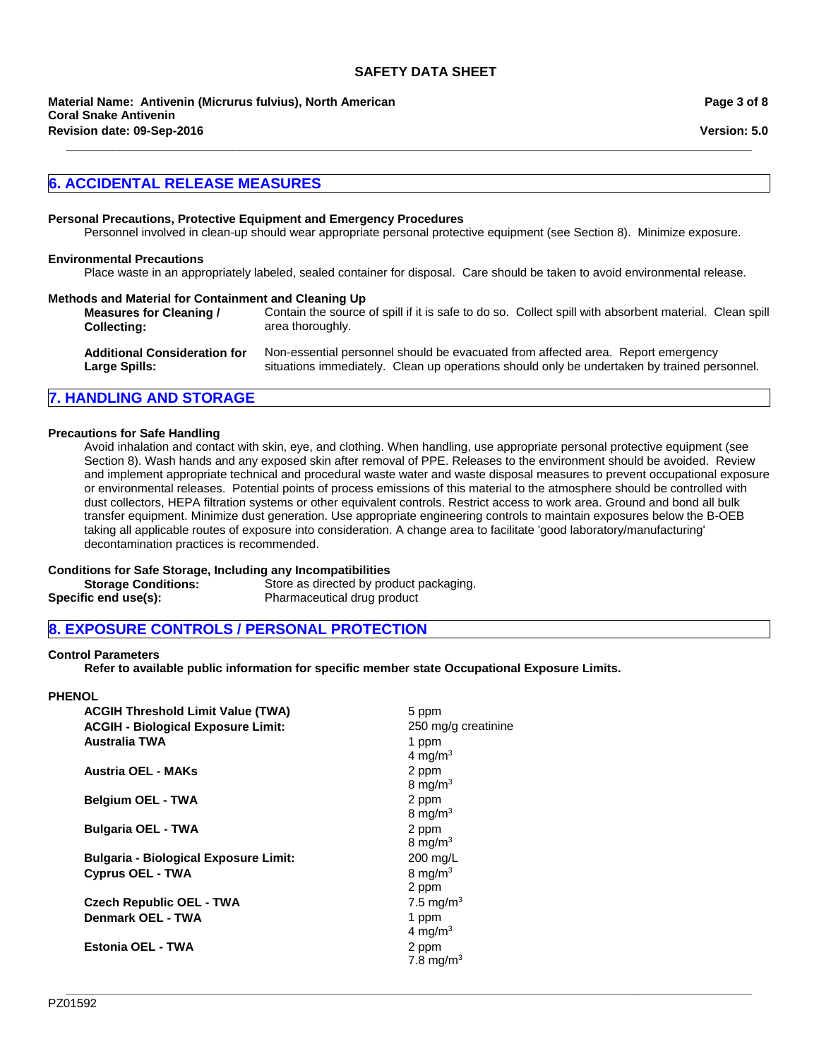**Revision date: 09-Sep-2016 Material Name: Antivenin (Micrurus fulvius), North American Coral Snake Antivenin**

## **6. ACCIDENTAL RELEASE MEASURES**

#### **Personal Precautions, Protective Equipment and Emergency Procedures**

Personnel involved in clean-up should wear appropriate personal protective equipment (see Section 8). Minimize exposure.

**\_\_\_\_\_\_\_\_\_\_\_\_\_\_\_\_\_\_\_\_\_\_\_\_\_\_\_\_\_\_\_\_\_\_\_\_\_\_\_\_\_\_\_\_\_\_\_\_\_\_\_\_\_\_\_\_\_\_\_\_\_\_\_\_\_\_\_\_\_\_\_\_\_\_\_\_\_\_\_\_\_\_\_\_\_\_\_\_\_\_\_\_\_\_\_\_\_\_\_\_\_\_\_**

#### **Environmental Precautions**

Place waste in an appropriately labeled, sealed container for disposal. Care should be taken to avoid environmental release.

#### **Methods and Material for Containment and Cleaning Up**

| <b>Measures for Cleaning /</b><br><b>Collecting:</b> | Contain the source of spill if it is safe to do so. Collect spill with absorbent material. Clean spill<br>area thoroughly. |  |
|------------------------------------------------------|----------------------------------------------------------------------------------------------------------------------------|--|
| Additional Consideration for                         | Non conception percepsed abouted be evenuated from effected area. Depart emergency                                         |  |

| Additional Consideration for | Non-essential personnel should be evacuated from affected area. Report emergency            |
|------------------------------|---------------------------------------------------------------------------------------------|
| Large Spills:                | situations immediately. Clean up operations should only be undertaken by trained personnel. |

## **7. HANDLING AND STORAGE**

#### **Precautions for Safe Handling**

Avoid inhalation and contact with skin, eye, and clothing. When handling, use appropriate personal protective equipment (see Section 8). Wash hands and any exposed skin after removal of PPE. Releases to the environment should be avoided. Review and implement appropriate technical and procedural waste water and waste disposal measures to prevent occupational exposure or environmental releases. Potential points of process emissions of this material to the atmosphere should be controlled with dust collectors, HEPA filtration systems or other equivalent controls. Restrict access to work area. Ground and bond all bulk transfer equipment. Minimize dust generation. Use appropriate engineering controls to maintain exposures below the B-OEB taking all applicable routes of exposure into consideration. A change area to facilitate 'good laboratory/manufacturing' decontamination practices is recommended.

#### **Conditions for Safe Storage, Including any Incompatibilities**

| <b>Storage Conditions:</b> | Store as directed by product packaging. |
|----------------------------|-----------------------------------------|
| Specific end use(s):       | Pharmaceutical drug product             |

## **8. EXPOSURE CONTROLS / PERSONAL PROTECTION**

#### **Control Parameters**

**Refer to available public information for specific member state Occupational Exposure Limits.**

**\_\_\_\_\_\_\_\_\_\_\_\_\_\_\_\_\_\_\_\_\_\_\_\_\_\_\_\_\_\_\_\_\_\_\_\_\_\_\_\_\_\_\_\_\_\_\_\_\_\_\_\_\_\_\_\_\_\_\_\_\_\_\_\_\_\_\_\_\_\_\_\_\_\_\_\_\_\_\_\_\_\_\_\_\_\_\_\_\_\_\_\_\_\_\_\_\_\_\_\_\_\_\_**

#### **PHENOL**

| <b>ACGIH Threshold Limit Value (TWA)</b><br><b>ACGIH - Biological Exposure Limit:</b><br><b>Australia TWA</b> | 5 ppm<br>250 mg/g creatinine<br>1 ppm<br>4 mg/m <sup>3</sup> |
|---------------------------------------------------------------------------------------------------------------|--------------------------------------------------------------|
| Austria OEL - MAKs                                                                                            | 2 ppm<br>8 mg/m <sup>3</sup>                                 |
| <b>Belgium OEL - TWA</b>                                                                                      | 2 ppm<br>8 mg/m $3$                                          |
| <b>Bulgaria OEL - TWA</b>                                                                                     | 2 ppm<br>8 mg/m $3$                                          |
| <b>Bulgaria - Biological Exposure Limit:</b>                                                                  | $200 \text{ mg/L}$                                           |
| <b>Cyprus OEL - TWA</b>                                                                                       | 8 mg/m $3$<br>2 ppm                                          |
| <b>Czech Republic OEL - TWA</b>                                                                               | 7.5 mg/m <sup>3</sup>                                        |
| Denmark OEL - TWA                                                                                             | 1 ppm<br>4 mg/m <sup>3</sup>                                 |
| <b>Estonia OEL - TWA</b>                                                                                      | 2 ppm<br>7.8 mg/m <sup>3</sup>                               |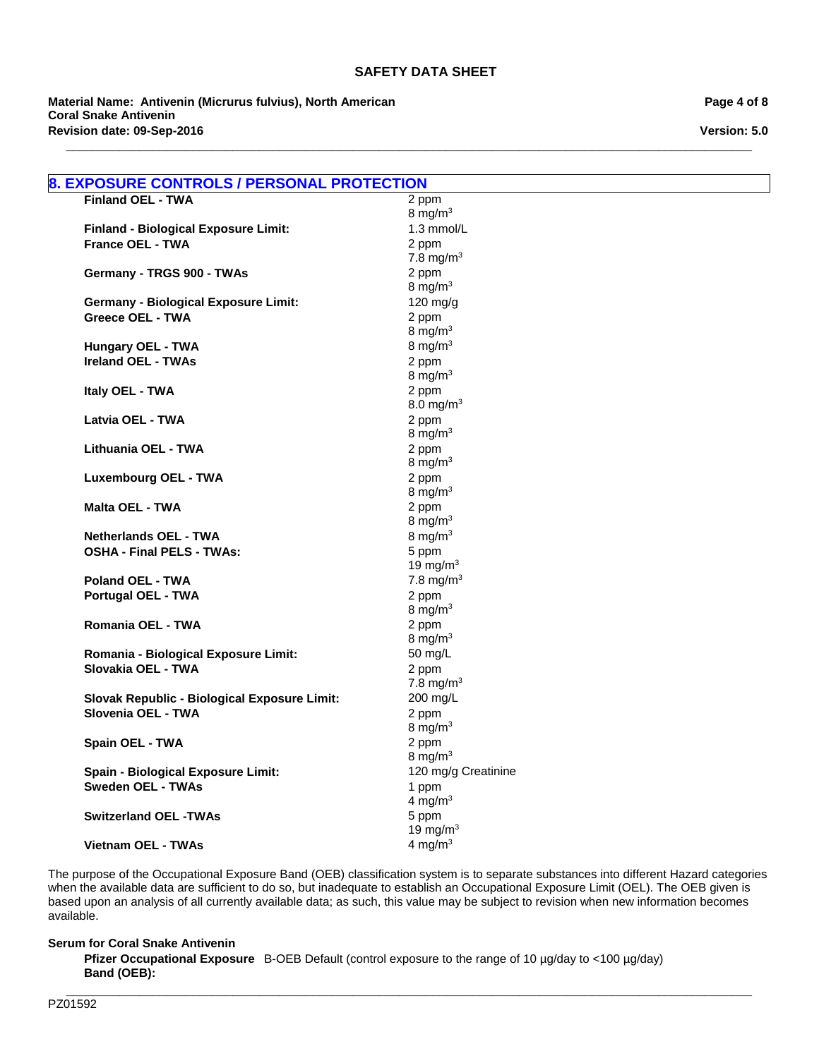**\_\_\_\_\_\_\_\_\_\_\_\_\_\_\_\_\_\_\_\_\_\_\_\_\_\_\_\_\_\_\_\_\_\_\_\_\_\_\_\_\_\_\_\_\_\_\_\_\_\_\_\_\_\_\_\_\_\_\_\_\_\_\_\_\_\_\_\_\_\_\_\_\_\_\_\_\_\_\_\_\_\_\_\_\_\_\_\_\_\_\_\_\_\_\_\_\_\_\_\_\_\_\_**

**Material Name: Antivenin (Micrurus fulvius), North American Coral Snake Antivenin Revision date: 09-Sep-2016**

**Page 4 of 8**

**Version: 5.0**

| <b>Finland OEL - TWA</b>                                               | 2 ppm                 |
|------------------------------------------------------------------------|-----------------------|
|                                                                        | 8 mg/ $m3$            |
| <b>Finland - Biological Exposure Limit:</b>                            | 1.3 mmol/L            |
| <b>France OEL - TWA</b>                                                | 2 ppm                 |
|                                                                        | 7.8 mg/m <sup>3</sup> |
| Germany - TRGS 900 - TWAs                                              | 2 ppm                 |
|                                                                        | 8 mg/ $m3$            |
| <b>Germany - Biological Exposure Limit:</b><br><b>Greece OEL - TWA</b> | $120$ mg/g            |
|                                                                        | 2 ppm<br>8 mg/m $3$   |
| <b>Hungary OEL - TWA</b>                                               | 8 mg/m $3$            |
| <b>Ireland OEL - TWAs</b>                                              | 2 ppm                 |
|                                                                        | 8 mg/m $3$            |
| Italy OEL - TWA                                                        | 2 ppm                 |
|                                                                        | 8.0 mg/m <sup>3</sup> |
| Latvia OEL - TWA                                                       | 2 ppm                 |
|                                                                        | 8 mg/ $m3$            |
| Lithuania OEL - TWA                                                    | 2 ppm                 |
|                                                                        | 8 mg/m $3$            |
| <b>Luxembourg OEL - TWA</b>                                            | 2 ppm                 |
|                                                                        | 8 mg/ $m3$            |
| <b>Malta OEL - TWA</b>                                                 | 2 ppm                 |
|                                                                        | 8 mg/ $m3$            |
| <b>Netherlands OEL - TWA</b>                                           | 8 mg/m $3$            |
| <b>OSHA - Final PELS - TWAs:</b>                                       | 5 ppm                 |
|                                                                        | 19 mg/m $3$           |
| <b>Poland OEL - TWA</b>                                                | 7.8 mg/m <sup>3</sup> |
| <b>Portugal OEL - TWA</b>                                              | 2 ppm                 |
|                                                                        | 8 mg/ $m3$            |
| <b>Romania OEL - TWA</b>                                               | 2 ppm                 |
|                                                                        | 8 mg/m $3$            |
| Romania - Biological Exposure Limit:                                   | 50 mg/L               |
| Slovakia OEL - TWA                                                     | 2 ppm                 |
|                                                                        | 7.8 mg/m <sup>3</sup> |
| Slovak Republic - Biological Exposure Limit:<br>Slovenia OEL - TWA     | 200 mg/L              |
|                                                                        | 2 ppm<br>8 mg/ $m3$   |
| Spain OEL - TWA                                                        | 2 ppm                 |
|                                                                        | 8 mg/m $3$            |
| <b>Spain - Biological Exposure Limit:</b>                              | 120 mg/g Creatinine   |
| <b>Sweden OEL - TWAs</b>                                               | 1 ppm                 |
|                                                                        | 4 mg/ $m3$            |
| <b>Switzerland OEL -TWAs</b>                                           | 5 ppm                 |
|                                                                        | 19 mg/m $3$           |
| Vietnam OEL - TWAs                                                     | 4 mg/ $m3$            |

The purpose of the Occupational Exposure Band (OEB) classification system is to separate substances into different Hazard categories when the available data are sufficient to do so, but inadequate to establish an Occupational Exposure Limit (OEL). The OEB given is based upon an analysis of all currently available data; as such, this value may be subject to revision when new information becomes available.

**\_\_\_\_\_\_\_\_\_\_\_\_\_\_\_\_\_\_\_\_\_\_\_\_\_\_\_\_\_\_\_\_\_\_\_\_\_\_\_\_\_\_\_\_\_\_\_\_\_\_\_\_\_\_\_\_\_\_\_\_\_\_\_\_\_\_\_\_\_\_\_\_\_\_\_\_\_\_\_\_\_\_\_\_\_\_\_\_\_\_\_\_\_\_\_\_\_\_\_\_\_\_\_**

#### **Serum for Coral Snake Antivenin**

Pfizer Occupational Exposure B-OEB Default (control exposure to the range of 10 µg/day to <100 µg/day) **Band (OEB):**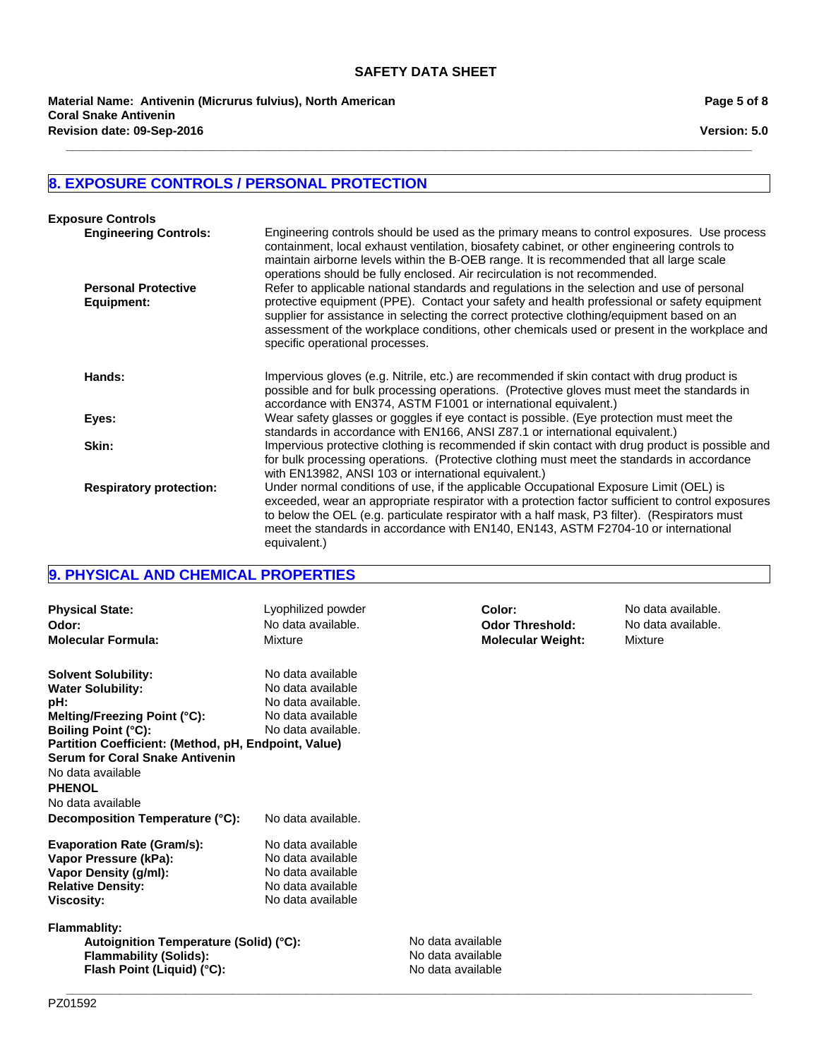**\_\_\_\_\_\_\_\_\_\_\_\_\_\_\_\_\_\_\_\_\_\_\_\_\_\_\_\_\_\_\_\_\_\_\_\_\_\_\_\_\_\_\_\_\_\_\_\_\_\_\_\_\_\_\_\_\_\_\_\_\_\_\_\_\_\_\_\_\_\_\_\_\_\_\_\_\_\_\_\_\_\_\_\_\_\_\_\_\_\_\_\_\_\_\_\_\_\_\_\_\_\_\_**

**Revision date: 09-Sep-2016 Material Name: Antivenin (Micrurus fulvius), North American Coral Snake Antivenin**

## **8. EXPOSURE CONTROLS / PERSONAL PROTECTION**

| <b>Exposure Controls</b>                 |                                                                                                                                                                                                                                                                                                                                                                                                                             |
|------------------------------------------|-----------------------------------------------------------------------------------------------------------------------------------------------------------------------------------------------------------------------------------------------------------------------------------------------------------------------------------------------------------------------------------------------------------------------------|
| <b>Engineering Controls:</b>             | Engineering controls should be used as the primary means to control exposures. Use process<br>containment, local exhaust ventilation, biosafety cabinet, or other engineering controls to<br>maintain airborne levels within the B-OEB range. It is recommended that all large scale<br>operations should be fully enclosed. Air recirculation is not recommended.                                                          |
| <b>Personal Protective</b><br>Equipment: | Refer to applicable national standards and regulations in the selection and use of personal<br>protective equipment (PPE). Contact your safety and health professional or safety equipment<br>supplier for assistance in selecting the correct protective clothing/equipment based on an<br>assessment of the workplace conditions, other chemicals used or present in the workplace and<br>specific operational processes. |
| Hands:                                   | Impervious gloves (e.g. Nitrile, etc.) are recommended if skin contact with drug product is<br>possible and for bulk processing operations. (Protective gloves must meet the standards in<br>accordance with EN374, ASTM F1001 or international equivalent.)                                                                                                                                                                |
| Eyes:                                    | Wear safety glasses or goggles if eye contact is possible. (Eye protection must meet the<br>standards in accordance with EN166, ANSI Z87.1 or international equivalent.)                                                                                                                                                                                                                                                    |
| Skin:                                    | Impervious protective clothing is recommended if skin contact with drug product is possible and<br>for bulk processing operations. (Protective clothing must meet the standards in accordance<br>with EN13982, ANSI 103 or international equivalent.)                                                                                                                                                                       |
| <b>Respiratory protection:</b>           | Under normal conditions of use, if the applicable Occupational Exposure Limit (OEL) is<br>exceeded, wear an appropriate respirator with a protection factor sufficient to control exposures<br>to below the OEL (e.g. particulate respirator with a half mask, P3 filter). (Respirators must<br>meet the standards in accordance with EN140, EN143, ASTM F2704-10 or international<br>equivalent.)                          |

# **9. PHYSICAL AND CHEMICAL PROPERTIES**

| <b>Physical State:</b><br>Odor:<br><b>Molecular Formula:</b>                                                                                                                                                                                       | Lyophilized powder<br>No data available.<br>Mixture                                                     |                                                             | Color:<br><b>Odor Threshold:</b><br><b>Molecular Weight:</b> | No data available.<br>No data available.<br>Mixture |
|----------------------------------------------------------------------------------------------------------------------------------------------------------------------------------------------------------------------------------------------------|---------------------------------------------------------------------------------------------------------|-------------------------------------------------------------|--------------------------------------------------------------|-----------------------------------------------------|
| <b>Solvent Solubility:</b><br><b>Water Solubility:</b><br>pH:<br>Melting/Freezing Point (°C):<br><b>Boiling Point (°C):</b><br>Partition Coefficient: (Method, pH, Endpoint, Value)<br><b>Serum for Coral Snake Antivenin</b><br>No data available | No data available<br>No data available<br>No data available.<br>No data available<br>No data available. |                                                             |                                                              |                                                     |
| <b>PHENOL</b><br>No data available                                                                                                                                                                                                                 |                                                                                                         |                                                             |                                                              |                                                     |
| Decomposition Temperature (°C):                                                                                                                                                                                                                    | No data available.                                                                                      |                                                             |                                                              |                                                     |
| <b>Evaporation Rate (Gram/s):</b><br>Vapor Pressure (kPa):<br>Vapor Density (g/ml):<br><b>Relative Density:</b><br><b>Viscosity:</b>                                                                                                               | No data available<br>No data available<br>No data available<br>No data available<br>No data available   |                                                             |                                                              |                                                     |
| <b>Flammablity:</b><br>Autoignition Temperature (Solid) (°C):<br><b>Flammability (Solids):</b><br>Flash Point (Liquid) (°C):                                                                                                                       |                                                                                                         | No data available<br>No data available<br>No data available |                                                              |                                                     |

**\_\_\_\_\_\_\_\_\_\_\_\_\_\_\_\_\_\_\_\_\_\_\_\_\_\_\_\_\_\_\_\_\_\_\_\_\_\_\_\_\_\_\_\_\_\_\_\_\_\_\_\_\_\_\_\_\_\_\_\_\_\_\_\_\_\_\_\_\_\_\_\_\_\_\_\_\_\_\_\_\_\_\_\_\_\_\_\_\_\_\_\_\_\_\_\_\_\_\_\_\_\_\_**

**Page 5 of 8**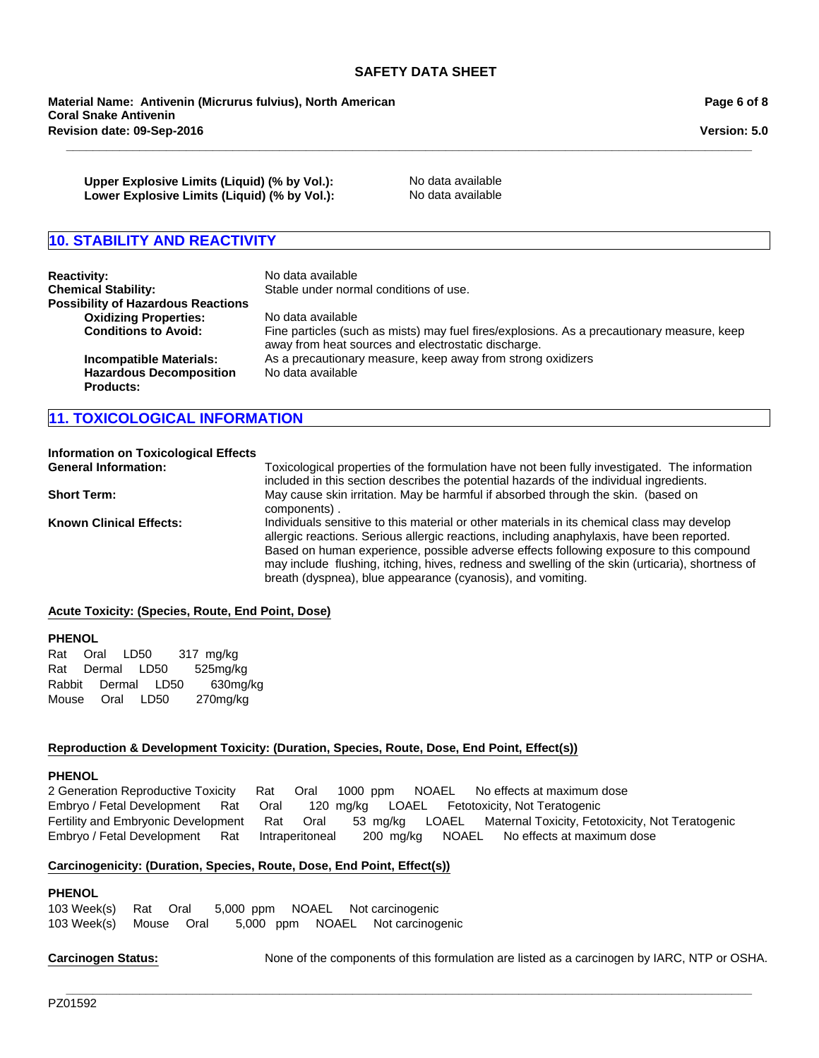**\_\_\_\_\_\_\_\_\_\_\_\_\_\_\_\_\_\_\_\_\_\_\_\_\_\_\_\_\_\_\_\_\_\_\_\_\_\_\_\_\_\_\_\_\_\_\_\_\_\_\_\_\_\_\_\_\_\_\_\_\_\_\_\_\_\_\_\_\_\_\_\_\_\_\_\_\_\_\_\_\_\_\_\_\_\_\_\_\_\_\_\_\_\_\_\_\_\_\_\_\_\_\_**

**Revision date: 09-Sep-2016 Material Name: Antivenin (Micrurus fulvius), North American Coral Snake Antivenin**

**Page 6 of 8**

**Version: 5.0**

**Upper Explosive Limits (Liquid) (% by Vol.):** No data available Lower Explosive Limits (Liquid) (% by Vol.): No data available

## **10. STABILITY AND REACTIVITY**

| <b>Reactivity:</b><br><b>Chemical Stability:</b><br><b>Possibility of Hazardous Reactions</b> | No data available<br>Stable under normal conditions of use.                                                                                                            |
|-----------------------------------------------------------------------------------------------|------------------------------------------------------------------------------------------------------------------------------------------------------------------------|
| <b>Oxidizing Properties:</b><br><b>Conditions to Avoid:</b>                                   | No data available<br>Fine particles (such as mists) may fuel fires/explosions. As a precautionary measure, keep<br>away from heat sources and electrostatic discharge. |
| <b>Incompatible Materials:</b><br><b>Hazardous Decomposition</b><br><b>Products:</b>          | As a precautionary measure, keep away from strong oxidizers<br>No data available                                                                                       |

## **11. TOXICOLOGICAL INFORMATION**

#### **Information on Toxicological Effects**

**General Information:** Toxicological properties of the formulation have not been fully investigated. The information included in this section describes the potential hazards of the individual ingredients. **Short Term:** May cause skin irritation. May be harmful if absorbed through the skin. (based on components) . **Known Clinical Effects:** Individuals sensitive to this material or other materials in its chemical class may develop allergic reactions. Serious allergic reactions, including anaphylaxis, have been reported. Based on human experience, possible adverse effects following exposure to this compound may include flushing, itching, hives, redness and swelling of the skin (urticaria), shortness of breath (dyspnea), blue appearance (cyanosis), and vomiting.

#### **Acute Toxicity: (Species, Route, End Point, Dose)**

#### **PHENOL**

RabbitDermalLD50 630mg/kg MouseOralLD50 270mg/kg RatOralLD50 317mg/kg RatDermalLD50 525mg/kg

#### **Reproduction & Development Toxicity: (Duration, Species, Route, Dose, End Point, Effect(s))**

#### **PHENOL**

Fertility and Embryonic DevelopmentRatOral53mg/kgLOAELMaternal Toxicity, Fetotoxicity, Not Teratogenic Embryo / Fetal DevelopmentRatIntraperitoneal200mg/kgNOAELNo effects at maximum dose 2 Generation Reproductive ToxicityRatOral1000ppmNOAELNo effects at maximum dose Embryo / Fetal DevelopmentRatOral120mg/kgLOAELFetotoxicity, Not Teratogenic

**\_\_\_\_\_\_\_\_\_\_\_\_\_\_\_\_\_\_\_\_\_\_\_\_\_\_\_\_\_\_\_\_\_\_\_\_\_\_\_\_\_\_\_\_\_\_\_\_\_\_\_\_\_\_\_\_\_\_\_\_\_\_\_\_\_\_\_\_\_\_\_\_\_\_\_\_\_\_\_\_\_\_\_\_\_\_\_\_\_\_\_\_\_\_\_\_\_\_\_\_\_\_\_**

#### **Carcinogenicity: (Duration, Species, Route, Dose, End Point, Effect(s))**

#### **PHENOL**

103 Week(s)RatOral5,000ppmNOAELNot carcinogenic 103 Week(s)MouseOral5,000ppmNOAELNot carcinogenic

**Carcinogen Status:** None of the components of this formulation are listed as a carcinogen by IARC, NTP or OSHA.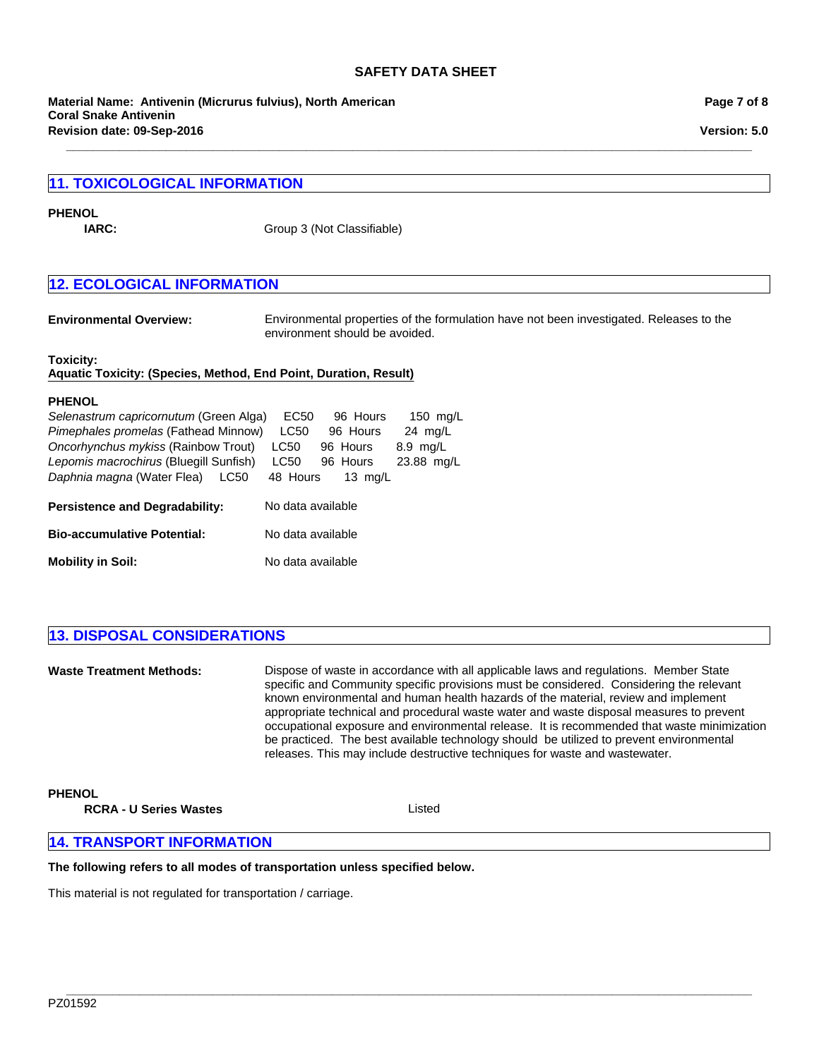**\_\_\_\_\_\_\_\_\_\_\_\_\_\_\_\_\_\_\_\_\_\_\_\_\_\_\_\_\_\_\_\_\_\_\_\_\_\_\_\_\_\_\_\_\_\_\_\_\_\_\_\_\_\_\_\_\_\_\_\_\_\_\_\_\_\_\_\_\_\_\_\_\_\_\_\_\_\_\_\_\_\_\_\_\_\_\_\_\_\_\_\_\_\_\_\_\_\_\_\_\_\_\_**

**Revision date: 09-Sep-2016 Material Name: Antivenin (Micrurus fulvius), North American Coral Snake Antivenin**

## **11. TOXICOLOGICAL INFORMATION**

#### **PHENOL**

**IARC:** Group 3 (Not Classifiable)

## **12. ECOLOGICAL INFORMATION**

**Environmental Overview:** Environmental properties of the formulation have not been investigated. Releases to the environment should be avoided.

## **Toxicity:**

**Aquatic Toxicity: (Species, Method, End Point, Duration, Result)**

#### **PHENOL**

| Selenastrum capricornutum (Green Alga) | EC50              | 96 Hours  | 150 mg/L           |
|----------------------------------------|-------------------|-----------|--------------------|
| Pimephales promelas (Fathead Minnow)   | <b>LC50</b>       | 96 Hours  | $24 \text{ mq/L}$  |
| Oncorhynchus mykiss (Rainbow Trout)    | LC50              | 96 Hours  | $8.9 \text{ mg/L}$ |
| Lepomis macrochirus (Bluegill Sunfish) | LC50              | 96 Hours  | 23.88 mg/L         |
| Daphnia magna (Water Flea)<br>LC50     | 48 Hours          | 13 $mq/L$ |                    |
|                                        |                   |           |                    |
| <b>Persistence and Degradability:</b>  | No data available |           |                    |
| <b>Bio-accumulative Potential:</b>     | No data available |           |                    |

## **13. DISPOSAL CONSIDERATIONS**

**Waste Treatment Methods:** Dispose of waste in accordance with all applicable laws and regulations. Member State specific and Community specific provisions must be considered. Considering the relevant known environmental and human health hazards of the material, review and implement appropriate technical and procedural waste water and waste disposal measures to prevent occupational exposure and environmental release. It is recommended that waste minimization be practiced. The best available technology should be utilized to prevent environmental releases. This may include destructive techniques for waste and wastewater.

### **PHENOL**

**RCRA - U Series Wastes** Listed

**\_\_\_\_\_\_\_\_\_\_\_\_\_\_\_\_\_\_\_\_\_\_\_\_\_\_\_\_\_\_\_\_\_\_\_\_\_\_\_\_\_\_\_\_\_\_\_\_\_\_\_\_\_\_\_\_\_\_\_\_\_\_\_\_\_\_\_\_\_\_\_\_\_\_\_\_\_\_\_\_\_\_\_\_\_\_\_\_\_\_\_\_\_\_\_\_\_\_\_\_\_\_\_**

## **14. TRANSPORT INFORMATION**

#### **The following refers to all modes of transportation unless specified below.**

This material is not regulated for transportation / carriage.

**Page 7 of 8**